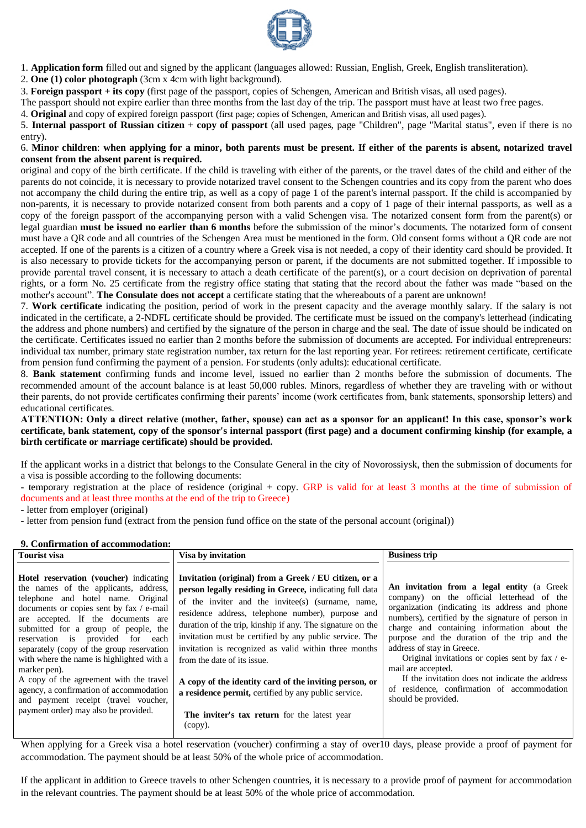

1. **Application form** filled out and signed by the applicant (languages allowed: Russian, English, Greek, English transliteration).

2. **One (1) color photograph** (3cm x 4cm with light background).

3. **Foreign passport** + **its copy** (first page of the passport, copies of Schengen, American and British visas, all used pages).

The passport should not expire earlier than three months from the last day of the trip. The passport must have at least two free pages.

4. **Original** and copy of expired foreign passport (first page; copies of Schengen, American and British visas, all used pages).

5. **Internal passport of Russian citizen** + **copy of passport** (all used pages, page "Children", page "Marital status", even if there is no entry).

# 6. **Minor children**: **when applying for a minor, both parents must be present. If either of the parents is absent, notarized travel consent from the absent parent is required.**

original and copy of the birth certificate. If the child is traveling with either of the parents, or the travel dates of the child and either of the parents do not coincide, it is necessary to provide notarized travel consent to the Schengen countries and its copy from the parent who does not accompany the child during the entire trip, as well as a copy of page 1 of the parent's internal passport. If the child is accompanied by non-parents, it is necessary to provide notarized consent from both parents and a copy of 1 page of their internal passports, as well as a copy of the foreign passport of the accompanying person with a valid Schengen visa. The notarized consent form from the parent(s) or legal guardian **must be issued no earlier than 6 months** before the submission of the minor's documents. The notarized form of consent must have a QR code and all countries of the Schengen Area must be mentioned in the form. Old consent forms without a QR code are not accepted. If one of the parents is a citizen of a country where a Greek visa is not needed, a copy of their identity card should be provided. It is also necessary to provide tickets for the accompanying person or parent, if the documents are not submitted together. If impossible to provide parental travel consent, it is necessary to attach a death certificate of the parent(s), or a court decision on deprivation of parental rights, or a form No. 25 certificate from the registry office stating that stating that the record about the father was made "based on the mother's account". **The Consulate does not accept** a certificate stating that the whereabouts of a parent are unknown!

7. **Work certificate** indicating the position, period of work in the present capacity and the average monthly salary. If the salary is not indicated in the certificate, a 2-NDFL certificate should be provided. The certificate must be issued on the company's letterhead (indicating the address and phone numbers) and certified by the signature of the person in charge and the seal. The date of issue should be indicated on the certificate. Certificates issued no earlier than 2 months before the submission of documents are accepted. For individual entrepreneurs: individual tax number, primary state registration number, tax return for the last reporting year. For retirees: retirement certificate, certificate from pension fund confirming the payment of a pension. For students (only adults): educational certificate.

8. **Bank statement** confirming funds and income level, issued no earlier than 2 months before the submission of documents. The recommended amount of the account balance is at least 50,000 rubles. Minors, regardless of whether they are traveling with or without their parents, do not provide certificates confirming their parents' income (work certificates from, bank statements, sponsorship letters) and educational certificates.

## **ATTENTION: Only a direct relative (mother, father, spouse) can act as a sponsor for an applicant! In this case, sponsor's work certificate, bank statement, copy of the sponsor's internal passport (first page) and a document confirming kinship (for example, a birth certificate or marriage certificate) should be provided.**

If the applicant works in a district that belongs to the Consulate General in the city of Novorossiysk, then the submission of documents for a visa is possible according to the following documents:

- temporary registration at the place of residence (original + copy. GRP is valid for at least 3 months at the time of submission of documents and at least three months at the end of the trip to Greece)

- letter from employer (original)

- letter from pension fund (extract from the pension fund office on the state of the personal account (original))

# **9. Confirmation of accommodation:**

| <b>Tourist visa</b>                                                                                                                                                                                                                                                                                                                                                                                                                                                                                                                                                        | Visa by invitation                                                                                                                                                                                                                                                                                                                                                                                                                                                                                                                                                                                                        | <b>Business trip</b>                                                                                                                                                                                                                                                                                                                                                                                                                                                                                                           |
|----------------------------------------------------------------------------------------------------------------------------------------------------------------------------------------------------------------------------------------------------------------------------------------------------------------------------------------------------------------------------------------------------------------------------------------------------------------------------------------------------------------------------------------------------------------------------|---------------------------------------------------------------------------------------------------------------------------------------------------------------------------------------------------------------------------------------------------------------------------------------------------------------------------------------------------------------------------------------------------------------------------------------------------------------------------------------------------------------------------------------------------------------------------------------------------------------------------|--------------------------------------------------------------------------------------------------------------------------------------------------------------------------------------------------------------------------------------------------------------------------------------------------------------------------------------------------------------------------------------------------------------------------------------------------------------------------------------------------------------------------------|
| <b>Hotel reservation (voucher)</b> indicating<br>the names of the applicants, address,<br>telephone and hotel name. Original<br>documents or copies sent by fax / e-mail<br>are accepted. If the documents are<br>submitted for a group of people, the<br>reservation is provided for each<br>separately (copy of the group reservation<br>with where the name is highlighted with a<br>marker pen).<br>A copy of the agreement with the travel<br>agency, a confirmation of accommodation<br>and payment receipt (travel voucher,<br>payment order) may also be provided. | Invitation (original) from a Greek / EU citizen, or a<br>person legally residing in Greece, indicating full data<br>of the inviter and the invite e(s) (surname, name,<br>residence address, telephone number), purpose and<br>duration of the trip, kinship if any. The signature on the<br>invitation must be certified by any public service. The<br>invitation is recognized as valid within three months<br>from the date of its issue.<br>A copy of the identity card of the inviting person, or<br>a residence permit, certified by any public service.<br>The inviter's tax return for the latest year<br>(copy). | An invitation from a legal entity (a Greek<br>company) on the official letterhead of the<br>organization (indicating its address and phone<br>numbers), certified by the signature of person in<br>charge and containing information about the<br>purpose and the duration of the trip and the<br>address of stay in Greece.<br>Original invitations or copies sent by fax / e-<br>mail are accepted.<br>If the invitation does not indicate the address<br>of residence, confirmation of accommodation<br>should be provided. |

When applying for a Greek visa a hotel reservation (voucher) confirming a stay of over10 days, please provide a proof of payment for accommodation. The payment should be at least 50% of the whole price of accommodation.

If the applicant in addition to Greece travels to other Schengen countries, it is necessary to a provide proof of payment for accommodation in the relevant countries. The payment should be at least 50% of the whole price of accommodation.